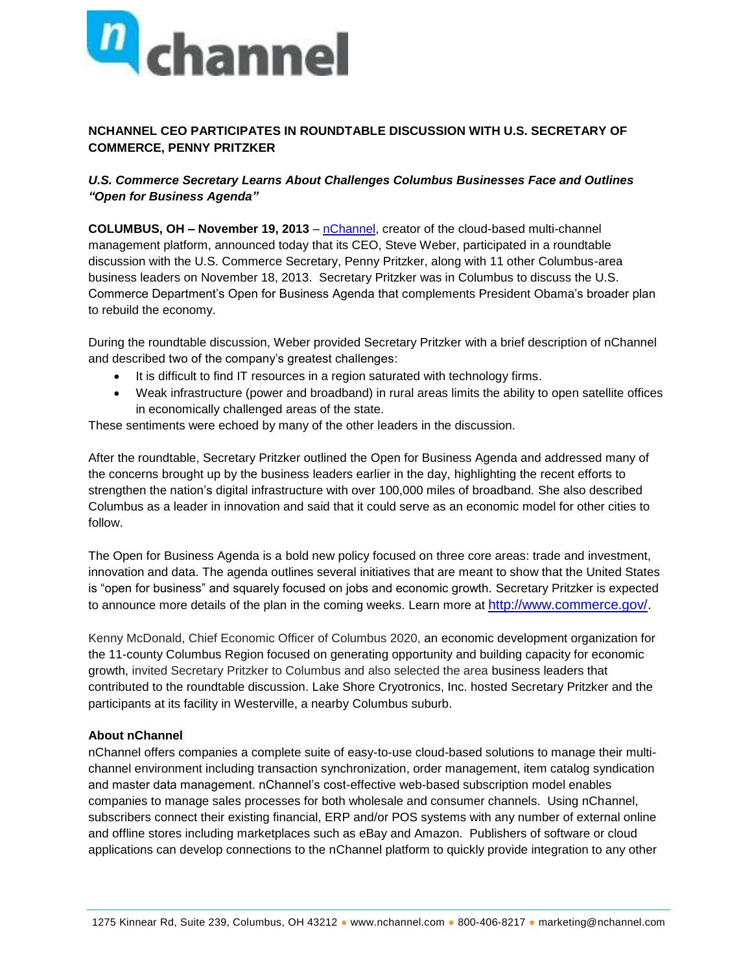

## **NCHANNEL CEO PARTICIPATES IN ROUNDTABLE DISCUSSION WITH U.S. SECRETARY OF COMMERCE, PENNY PRITZKER**

## *U.S. Commerce Secretary Learns About Challenges Columbus Businesses Face and Outlines "Open for Business Agenda"*

**COLUMBUS, OH – November 19, 2013** – [nChannel,](http://www.nchannel.com/) creator of the cloud-based multi-channel management platform, announced today that its CEO, Steve Weber, participated in a roundtable discussion with the U.S. Commerce Secretary, Penny Pritzker, along with 11 other Columbus-area business leaders on November 18, 2013. Secretary Pritzker was in Columbus to discuss the U.S. Commerce Department's Open for Business Agenda that complements President Obama's broader plan to rebuild the economy.

During the roundtable discussion, Weber provided Secretary Pritzker with a brief description of nChannel and described two of the company's greatest challenges:

- It is difficult to find IT resources in a region saturated with technology firms.
- Weak infrastructure (power and broadband) in rural areas limits the ability to open satellite offices in economically challenged areas of the state.

These sentiments were echoed by many of the other leaders in the discussion.

After the roundtable, Secretary Pritzker outlined the Open for Business Agenda and addressed many of the concerns brought up by the business leaders earlier in the day, highlighting the recent efforts to strengthen the nation's digital infrastructure with over 100,000 miles of broadband. She also described Columbus as a leader in innovation and said that it could serve as an economic model for other cities to follow.

The Open for Business Agenda is a bold new policy focused on three core areas: trade and investment, innovation and data. The agenda outlines several initiatives that are meant to show that the United States is "open for business" and squarely focused on jobs and economic growth. Secretary Pritzker is expected to announce more details of the plan in the coming weeks. Learn more at [http://www.commerce.gov/.](http://www.commerce.gov/)

Kenny McDonald, Chief Economic Officer of Columbus 2020, an economic development organization for the 11-county Columbus Region focused on generating opportunity and building capacity for economic growth, invited Secretary Pritzker to Columbus and also selected the area business leaders that contributed to the roundtable discussion. Lake Shore Cryotronics, Inc. hosted Secretary Pritzker and the participants at its facility in Westerville, a nearby Columbus suburb.

## **About nChannel**

nChannel offers companies a complete suite of easy-to-use cloud-based solutions to manage their multichannel environment including transaction synchronization, order management, item catalog syndication and master data management. nChannel's cost-effective web-based subscription model enables companies to manage sales processes for both wholesale and consumer channels. Using nChannel, subscribers connect their existing financial, ERP and/or POS systems with any number of external online and offline stores including marketplaces such as eBay and Amazon. Publishers of software or cloud applications can develop connections to the nChannel platform to quickly provide integration to any other